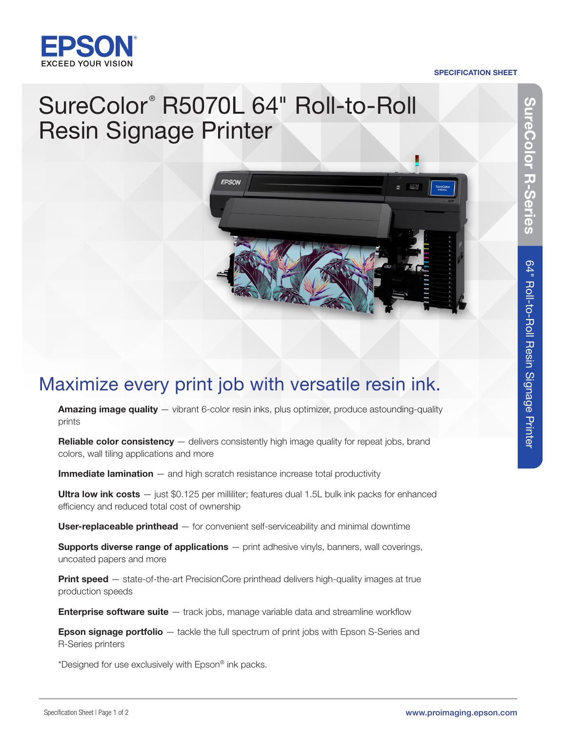

### SPECIFICATION SHEET

# SureColor<sup>®</sup> R5070L 64" Roll-to-Roll Resin Signage Printer



## Maximize every print job with versatile resin ink.

Amazing image quality — vibrant 6-color resin inks, plus optimizer, produce astounding-quality prints

Reliable color consistency — delivers consistently high image quality for repeat jobs, brand colors, wall tiling applications and more

Immediate lamination – and high scratch resistance increase total productivity

Ultra low ink  $costs$   $-$  just \$0.125 per milliliter; features dual 1.5L bulk ink packs for enhanced efficiency and reduced total cost of ownership

User-replaceable printhead – for convenient self-serviceability and minimal downtime

**Supports diverse range of applications** — print adhesive vinyls, banners, wall coverings, uncoated papers and more

Print speed - state-of-the-art PrecisionCore printhead delivers high-quality images at true production speeds

**Enterprise software suite**  $-$  track jobs, manage variable data and streamline workflow

**Epson signage portfolio** — tackle the full spectrum of print jobs with Epson S-Series and R-Series printers

\*Designed for use exclusively with Epson® ink packs.